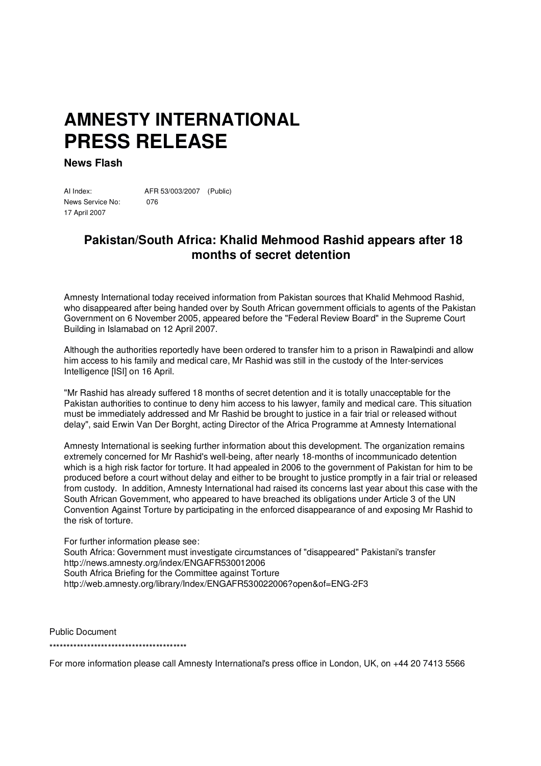## **AMNESTY INTERNATIONAL PRESS RELEASE**

**News Flash**

AI Index: AFR 53/003/2007 (Public) News Service No: 076 17 April 2007

## **Pakistan/South Africa: Khalid Mehmood Rashid appears after 18 months of secret detention**

Amnesty International today received information from Pakistan sources that Khalid Mehmood Rashid, who disappeared after being handed over by South African government officials to agents of the Pakistan Government on 6 November 2005, appeared before the "Federal Review Board" in the Supreme Court Building in Islamabad on 12 April 2007.

Although the authorities reportedly have been ordered to transfer him to a prison in Rawalpindi and allow him access to his family and medical care, Mr Rashid was still in the custody of the Inter-services Intelligence [ISI] on 16 April.

"Mr Rashid has already suffered 18 months of secret detention and it is totally unacceptable for the Pakistan authorities to continue to deny him access to his lawyer, family and medical care. This situation must be immediately addressed and Mr Rashid be brought to justice in a fair trial or released without delay", said Erwin Van Der Borght, acting Director of the Africa Programme at Amnesty International

Amnesty International is seeking further information about this development. The organization remains extremely concerned for Mr Rashid's well-being, after nearly 18-months of incommunicado detention which is a high risk factor for torture. It had appealed in 2006 to the government of Pakistan for him to be produced before a court without delay and either to be brought to justice promptly in a fair trial or released from custody. In addition, Amnesty International had raised its concerns last year about this case with the South African Government, who appeared to have breached its obligations under Article 3 of the UN Convention Against Torture by participating in the enforced disappearance of and exposing Mr Rashid to the risk of torture.

For further information please see: South Africa: Government must investigate circumstances of "disappeared" Pakistani's transfer http://news.amnesty.org/index/ENGAFR530012006 South Africa Briefing for the Committee against Torture http://web.amnesty.org/library/Index/ENGAFR530022006?open&of=ENG-2F3

Public Document \*\*\*\*\*\*\*\*\*\*\*\*\*\*\*\*\*\*\*\*\*\*\*\*\*\*\*\*\*\*\*\*\*\*\*\*\*\*\*\*

For more information please call Amnesty International's press office in London, UK, on +44 20 7413 5566